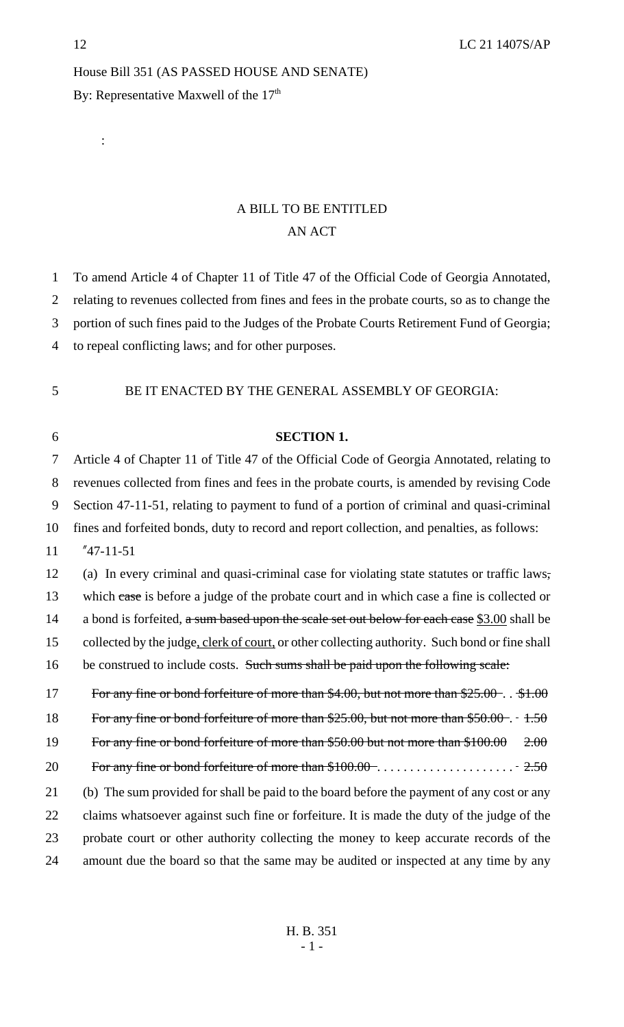:

## House Bill 351 (AS PASSED HOUSE AND SENATE) By: Representative Maxwell of the 17<sup>th</sup>

## A BILL TO BE ENTITLED AN ACT

| 1              | To amend Article 4 of Chapter 11 of Title 47 of the Official Code of Georgia Annotated,        |
|----------------|------------------------------------------------------------------------------------------------|
| $\overline{2}$ | relating to revenues collected from fines and fees in the probate courts, so as to change the  |
| 3              | portion of such fines paid to the Judges of the Probate Courts Retirement Fund of Georgia;     |
| 4              | to repeal conflicting laws; and for other purposes.                                            |
|                |                                                                                                |
| 5              | BE IT ENACTED BY THE GENERAL ASSEMBLY OF GEORGIA:                                              |
|                |                                                                                                |
| 6              | <b>SECTION 1.</b>                                                                              |
| 7              | Article 4 of Chapter 11 of Title 47 of the Official Code of Georgia Annotated, relating to     |
| 8              | revenues collected from fines and fees in the probate courts, is amended by revising Code      |
| 9              | Section 47-11-51, relating to payment to fund of a portion of criminal and quasi-criminal      |
| 10             | fines and forfeited bonds, duty to record and report collection, and penalties, as follows:    |
| 11             | $"47-11-51$                                                                                    |
| 12             | (a) In every criminal and quasi-criminal case for violating state statutes or traffic laws,    |
| 13             | which case is before a judge of the probate court and in which case a fine is collected or     |
| 14             | a bond is forfeited, a sum based upon the scale set out below for each case \$3.00 shall be    |
| 15             | collected by the judge, clerk of court, or other collecting authority. Such bond or fine shall |
| 16             | be construed to include costs. Such sums shall be paid upon the following scale:               |
| 17             | For any fine or bond forfeiture of more than $$4.00$ , but not more than $$25.00-.$ \$1.00     |
| 18             | For any fine or bond forfeiture of more than $$25.00$ , but not more than $$50.00 - 1.50$      |
| 19             | For any fine or bond forfeiture of more than \$50.00 but not more than \$100.00<br>2.00        |
| 20             |                                                                                                |
| 21             | (b) The sum provided for shall be paid to the board before the payment of any cost or any      |
| 22             | claims whatsoever against such fine or forfeiture. It is made the duty of the judge of the     |
| 23             | probate court or other authority collecting the money to keep accurate records of the          |

24 amount due the board so that the same may be audited or inspected at any time by any